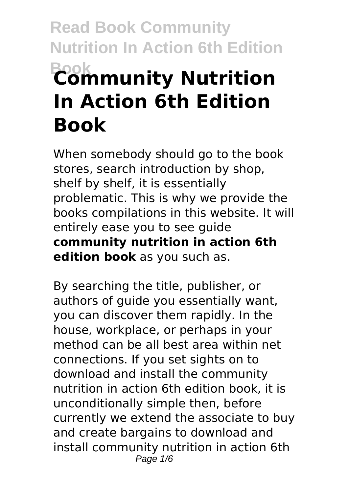# **Read Book Community Nutrition In Action 6th Edition Book Community Nutrition In Action 6th Edition Book**

When somebody should go to the book stores, search introduction by shop, shelf by shelf, it is essentially problematic. This is why we provide the books compilations in this website. It will entirely ease you to see guide **community nutrition in action 6th edition book** as you such as.

By searching the title, publisher, or authors of guide you essentially want, you can discover them rapidly. In the house, workplace, or perhaps in your method can be all best area within net connections. If you set sights on to download and install the community nutrition in action 6th edition book, it is unconditionally simple then, before currently we extend the associate to buy and create bargains to download and install community nutrition in action 6th Page  $1/6$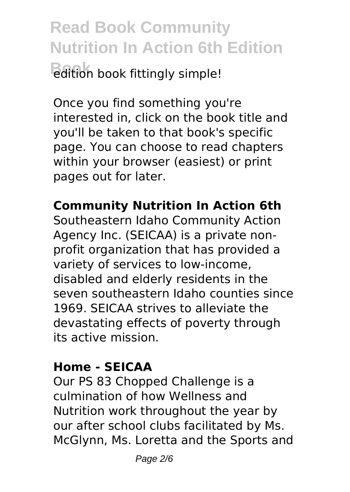**Read Book Community Nutrition In Action 6th Edition Book** fittingly simple!

Once you find something you're interested in, click on the book title and you'll be taken to that book's specific page. You can choose to read chapters within your browser (easiest) or print pages out for later.

**Community Nutrition In Action 6th**

Southeastern Idaho Community Action Agency Inc. (SEICAA) is a private nonprofit organization that has provided a variety of services to low-income, disabled and elderly residents in the seven southeastern Idaho counties since 1969. SEICAA strives to alleviate the devastating effects of poverty through its active mission.

#### **Home - SEICAA**

Our PS 83 Chopped Challenge is a culmination of how Wellness and Nutrition work throughout the year by our after school clubs facilitated by Ms. McGlynn, Ms. Loretta and the Sports and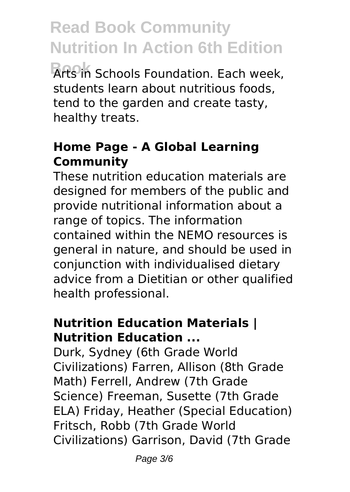**Book** Arts in Schools Foundation. Each week, students learn about nutritious foods, tend to the garden and create tasty, healthy treats.

### **Home Page - A Global Learning Community**

These nutrition education materials are designed for members of the public and provide nutritional information about a range of topics. The information contained within the NEMO resources is general in nature, and should be used in conjunction with individualised dietary advice from a Dietitian or other qualified health professional.

### **Nutrition Education Materials | Nutrition Education ...**

Durk, Sydney (6th Grade World Civilizations) Farren, Allison (8th Grade Math) Ferrell, Andrew (7th Grade Science) Freeman, Susette (7th Grade ELA) Friday, Heather (Special Education) Fritsch, Robb (7th Grade World Civilizations) Garrison, David (7th Grade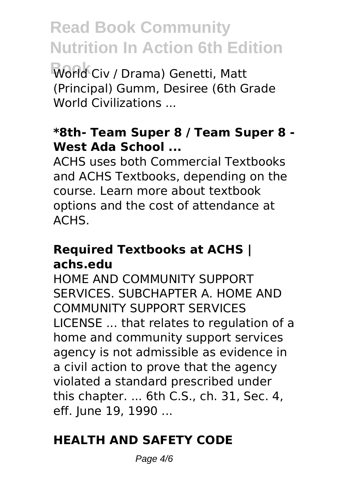**Book** World Civ / Drama) Genetti, Matt (Principal) Gumm, Desiree (6th Grade World Civilizations ...

#### **\*8th- Team Super 8 / Team Super 8 - West Ada School ...**

ACHS uses both Commercial Textbooks and ACHS Textbooks, depending on the course. Learn more about textbook options and the cost of attendance at ACHS.

#### **Required Textbooks at ACHS | achs.edu**

HOME AND COMMUNITY SUPPORT SERVICES. SUBCHAPTER A. HOME AND COMMUNITY SUPPORT SERVICES LICENSE ... that relates to regulation of a home and community support services agency is not admissible as evidence in a civil action to prove that the agency violated a standard prescribed under this chapter. ... 6th C.S., ch. 31, Sec. 4, eff. June 19, 1990 ...

### **HEALTH AND SAFETY CODE**

Page  $4/6$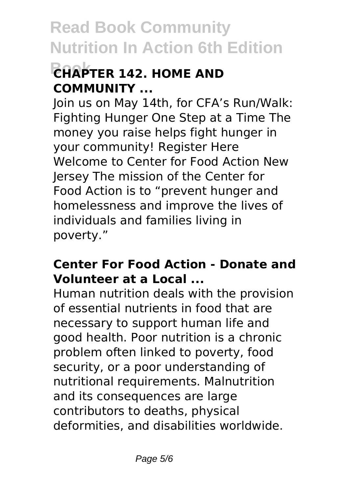## **Book CHAPTER 142. HOME AND COMMUNITY ...**

Join us on May 14th, for CFA's Run/Walk: Fighting Hunger One Step at a Time The money you raise helps fight hunger in your community! Register Here Welcome to Center for Food Action New Jersey The mission of the Center for Food Action is to "prevent hunger and homelessness and improve the lives of individuals and families living in poverty."

#### **Center For Food Action - Donate and Volunteer at a Local ...**

Human nutrition deals with the provision of essential nutrients in food that are necessary to support human life and good health. Poor nutrition is a chronic problem often linked to poverty, food security, or a poor understanding of nutritional requirements. Malnutrition and its consequences are large contributors to deaths, physical deformities, and disabilities worldwide.